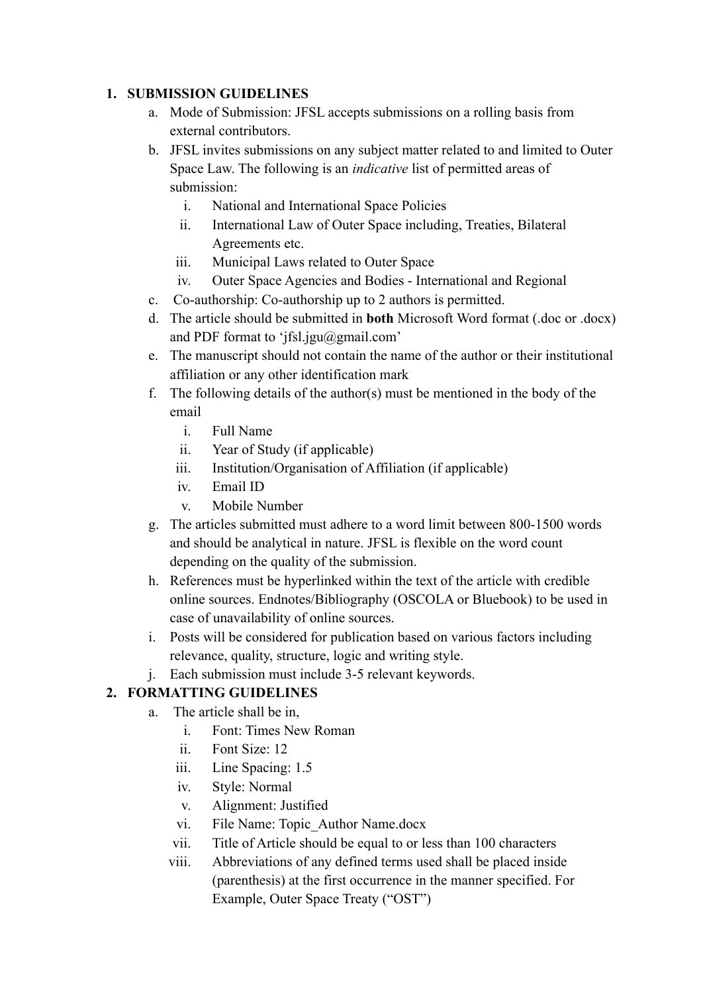### **1. SUBMISSION GUIDELINES**

- a. Mode of Submission: JFSL accepts submissions on a rolling basis from external contributors.
- b. JFSL invites submissions on any subject matter related to and limited to Outer Space Law. The following is an *indicative* list of permitted areas of submission:
	- i. National and International Space Policies
	- ii. International Law of Outer Space including, Treaties, Bilateral Agreements etc.
	- iii. Municipal Laws related to Outer Space
	- iv. Outer Space Agencies and Bodies International and Regional
- c. Co-authorship: Co-authorship up to 2 authors is permitted.
- d. The article should be submitted in **both** Microsoft Word format (.doc or .docx) and PDF format to 'jfsl.jgu@gmail.com'
- e. The manuscript should not contain the name of the author or their institutional affiliation or any other identification mark
- f. The following details of the author(s) must be mentioned in the body of the email
	- i. Full Name
	- ii. Year of Study (if applicable)
	- iii. Institution/Organisation of Affiliation (if applicable)
	- iv. Email ID
	- v. Mobile Number
- g. The articles submitted must adhere to a word limit between 800-1500 words and should be analytical in nature. JFSL is flexible on the word count depending on the quality of the submission.
- h. References must be hyperlinked within the text of the article with credible online sources. Endnotes/Bibliography (OSCOLA or Bluebook) to be used in case of unavailability of online sources.
- i. Posts will be considered for publication based on various factors including relevance, quality, structure, logic and writing style.
- j. Each submission must include 3-5 relevant keywords.

## **2. FORMATTING GUIDELINES**

- a. The article shall be in,
	- i. Font: Times New Roman
	- ii. Font Size: 12
	- iii. Line Spacing: 1.5
	- iv. Style: Normal
	- v. Alignment: Justified
	- vi. File Name: Topic\_Author Name.docx
	- vii. Title of Article should be equal to or less than 100 characters
	- viii. Abbreviations of any defined terms used shall be placed inside (parenthesis) at the first occurrence in the manner specified. For Example, Outer Space Treaty ("OST")